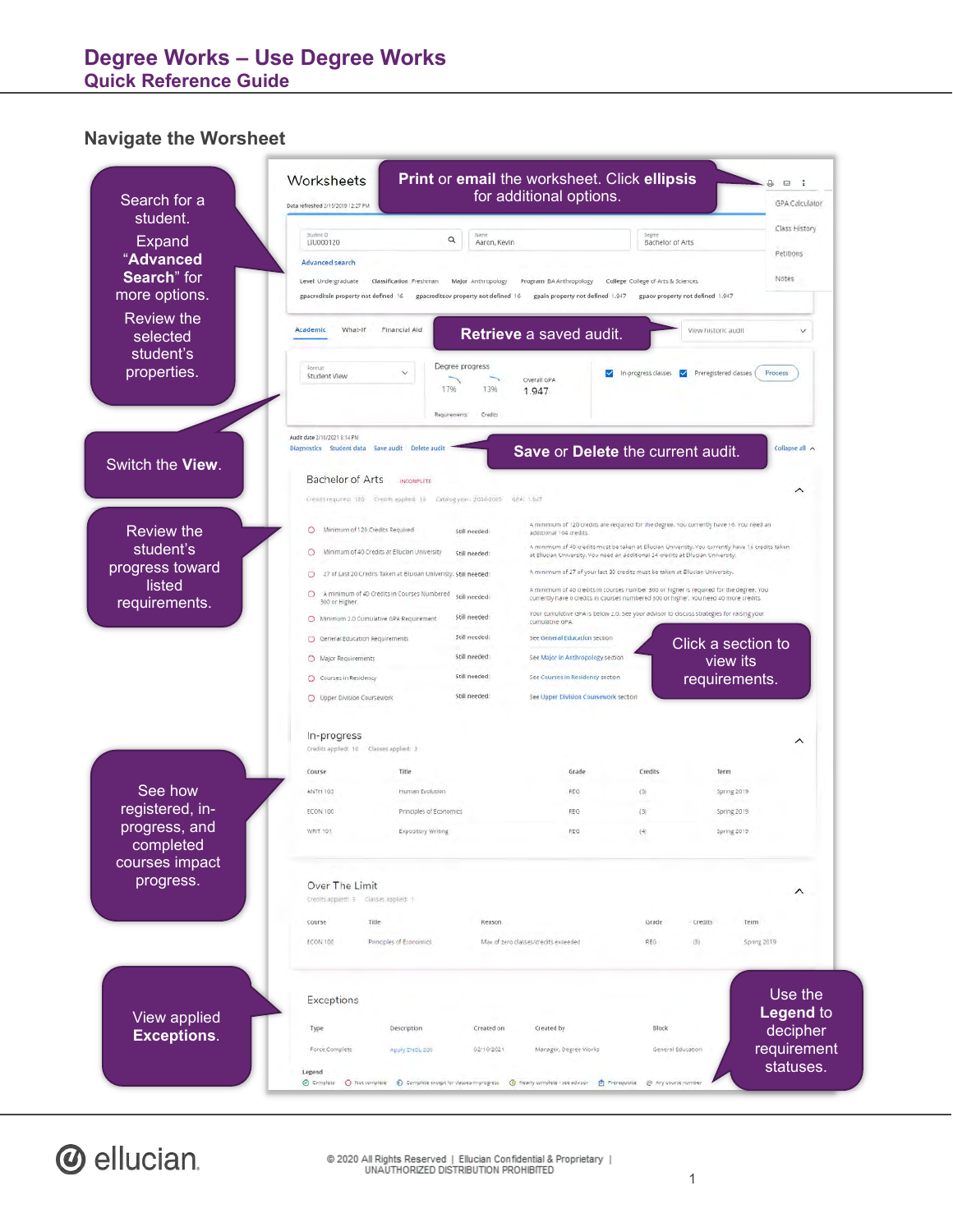#### **Navigate the Worsheet**

| Search for a<br>student.           | Data refreshed 2/15/2019 12:27 PM                                            | for additional options.                                                           |                                                                                                                                                                                  | GPA Calculator              |
|------------------------------------|------------------------------------------------------------------------------|-----------------------------------------------------------------------------------|----------------------------------------------------------------------------------------------------------------------------------------------------------------------------------|-----------------------------|
|                                    | Student ID<br>Q                                                              | Name                                                                              | Degree                                                                                                                                                                           | Class History               |
| Expand<br>"Advanced                | LIU000120                                                                    | Aaron, Kevin                                                                      | Bachelor of Arts                                                                                                                                                                 | Petitions                   |
| Search" for                        | Advanced search<br>Level Undergraduate<br>Classification Freshman            | Major Anthropology<br>Program BA Anthropology                                     | College College of Arts & Sciences                                                                                                                                               | Notes                       |
| more options.                      | gpacreditsin property not defined 16<br>gpacreditsov property not defined 16 | gpain property not defined 1.947                                                  | gpaov property not defined 1.947                                                                                                                                                 |                             |
| <b>Review the</b>                  |                                                                              |                                                                                   |                                                                                                                                                                                  |                             |
| selected                           | Academic<br>What-If<br>Financial Aid                                         | Retrieve a saved audit.                                                           | View historic audit                                                                                                                                                              |                             |
|                                    |                                                                              |                                                                                   |                                                                                                                                                                                  |                             |
| properties.                        | Degree progress<br>Format<br>Student View                                    | ⊻<br>Overall GPA                                                                  | In-progress classes V Preregistered classes                                                                                                                                      | Process                     |
|                                    | 1796                                                                         | 13%<br>1.947                                                                      |                                                                                                                                                                                  |                             |
|                                    | Requirements:                                                                | Credits                                                                           |                                                                                                                                                                                  |                             |
|                                    | Audit date 2/10/2021 6:14 PM                                                 |                                                                                   |                                                                                                                                                                                  |                             |
|                                    | Diagnostics Student data Save audit Delete audit                             | Save or Delete the current audit.                                                 |                                                                                                                                                                                  |                             |
| Switch the View.                   | <b>Bachelor of Arts</b><br><b>INCOMPLETE</b>                                 |                                                                                   |                                                                                                                                                                                  |                             |
|                                    | Creats required: 180 Creats applied: 16 Catalog year: 2004-2005 GPA: 1.947   |                                                                                   |                                                                                                                                                                                  | ⌒                           |
|                                    |                                                                              |                                                                                   |                                                                                                                                                                                  |                             |
| <b>Review the</b>                  | Minimum of 120 Credits Required<br>O<br>Still needed:                        | additional 104 credits.                                                           | A minimum of 120 credits are required for the degree. You currently have 16. You need an                                                                                         |                             |
|                                    | Minimum of 40 Credits at Ellucian University<br>$\circ$<br>Still needed:     | at Ellucian University. You need an additional 24 credits at Ellucian University. | A minimum of 40 credits must be taken at Ellucian Univeristy. You currently have 16 credits taken                                                                                |                             |
| progress toward                    | O 27 of Last 20 Credits Taken at Ellucian Univeristy. Still needed:          | A minimum of 27 of your last 30 credits must be taken at Ellucian University.     |                                                                                                                                                                                  |                             |
| requirements.                      | A minimum of 40 Credits in Courses Numbered still needed:<br>О               |                                                                                   | A minimum of 40 credits in courses number 300 or higher is required for the degree. You<br>currently have 0 credits in courses numbered 300 or higher. You need 40 more credits. |                             |
|                                    | 300 or Higher.<br>Still needed:<br>O Minimum 2.0 Cumulative GPA Requirement  |                                                                                   | Your cumulative GPA is below 2.0. See your advisor to discuss strategies for raising your                                                                                        |                             |
|                                    | Still needed:<br>O General Education Requirements                            | cumulative GPA.<br>See General Education section                                  |                                                                                                                                                                                  |                             |
|                                    | Still needed:<br>O Major Requirements                                        | See Major in Anthropology section                                                 | Click a section to                                                                                                                                                               |                             |
|                                    | Still needed:<br>O Courses in Residency                                      | See Courses In Residency section                                                  | view its<br>requirements.                                                                                                                                                        |                             |
|                                    | Still needed:<br>O Upper Division Coursework                                 | See Upper Division Coursework section                                             |                                                                                                                                                                                  |                             |
|                                    | In-progress                                                                  |                                                                                   |                                                                                                                                                                                  | ᄉ                           |
|                                    | Credits applied: 10 Classes applied: 3                                       |                                                                                   |                                                                                                                                                                                  |                             |
|                                    | Course<br>Title                                                              | Grade                                                                             | Credits<br>Term                                                                                                                                                                  |                             |
| See how                            | <b>ANTH 103</b><br>Human Evolution                                           | REG                                                                               | (3)<br>Spring 2019                                                                                                                                                               |                             |
| registered, in-<br>progress, and   | <b>ECON 100</b><br>Principles of Economics                                   | REG                                                                               | (3)<br><b>Spring 2019</b>                                                                                                                                                        |                             |
|                                    | WRIT. 101<br>Expository Writing                                              | REG.                                                                              | (4)<br>Spring 2019                                                                                                                                                               |                             |
| courses impact                     |                                                                              |                                                                                   |                                                                                                                                                                                  |                             |
|                                    | Over The Limit<br>Creoits applied: 3 Classes applied: 1                      |                                                                                   |                                                                                                                                                                                  | $\hat{}$                    |
|                                    | Title<br>Course                                                              | Reason                                                                            | Grade<br>Credits<br>Term                                                                                                                                                         |                             |
|                                    | ECON 100<br>Principles of Economics                                          | Max of zero classes/credits exceeded                                              | REG<br>(3)                                                                                                                                                                       | Spring 2019                 |
|                                    |                                                                              |                                                                                   |                                                                                                                                                                                  |                             |
|                                    |                                                                              |                                                                                   |                                                                                                                                                                                  |                             |
|                                    |                                                                              |                                                                                   |                                                                                                                                                                                  |                             |
|                                    | Exceptions                                                                   |                                                                                   |                                                                                                                                                                                  | Use the<br><b>Legend to</b> |
| View applied<br><b>Exceptions.</b> | Description<br>Type                                                          | Created by<br>Created on                                                          | Block                                                                                                                                                                            | decipher<br>requirement     |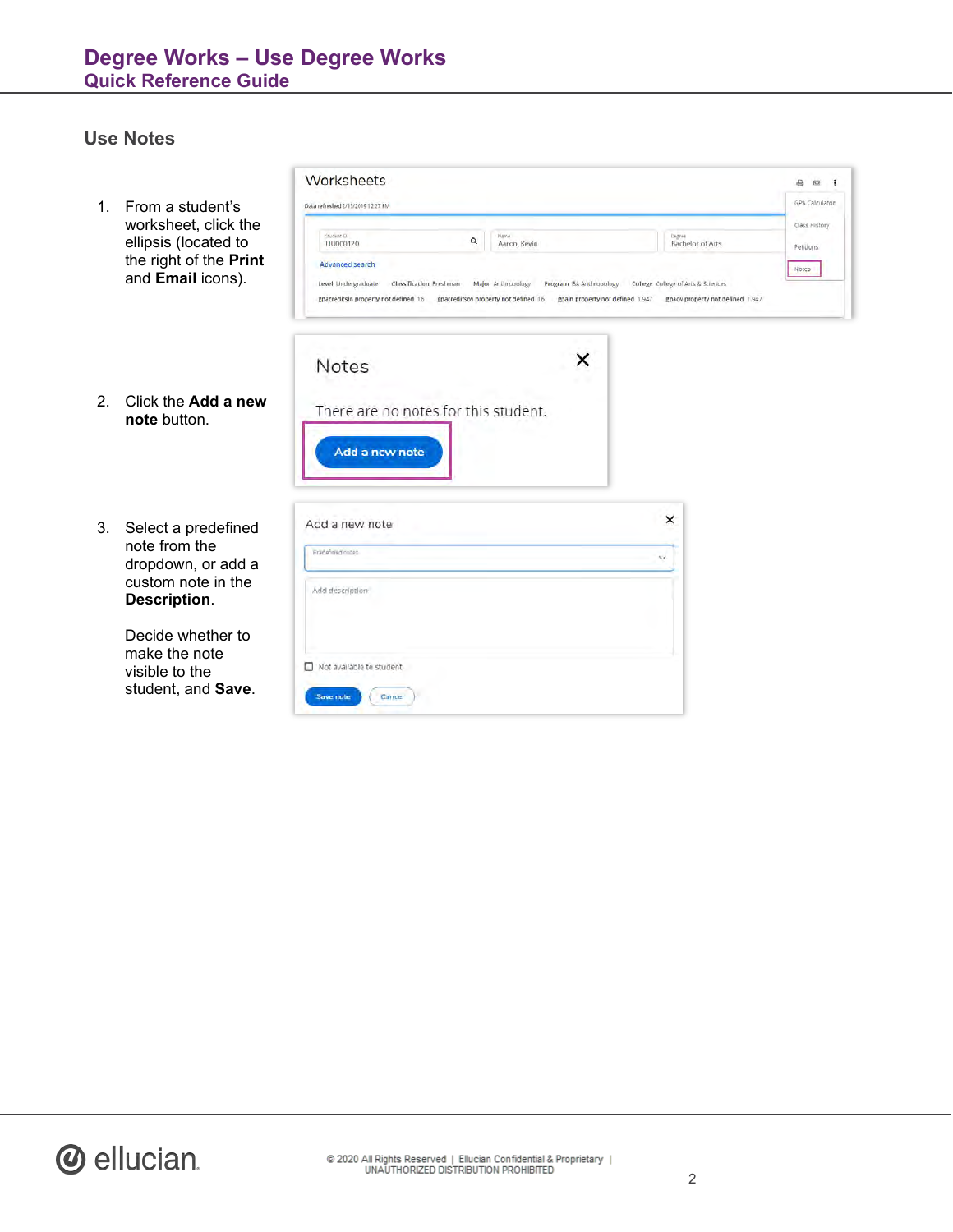#### **Use Notes**

1. From a student's worksheet, click the ellipsis (located to the right of the **Print** and **Email** icons).

| Data refreshed 2/15/2019 12:27 PM                                                 |                                                               |   |                                                                   | GPA Calculator             |  |
|-----------------------------------------------------------------------------------|---------------------------------------------------------------|---|-------------------------------------------------------------------|----------------------------|--|
| Student (D)<br>Q<br>LIU000120                                                     | Name.<br>Aaron, Kevin                                         |   | <b>Degree</b><br>Bachelor of Arts                                 | Class History<br>Petitions |  |
| Advanced search<br>Level Undergraduate Classification Freshman Major Anthropology | College College of Arts & Sciences<br>Program BA Anthropology |   |                                                                   | Notes                      |  |
| gpacreditsin property not defined 16 gpacreditsov property not defined 16         |                                                               |   | gpain property not defined 1.947 gpacy property not defined 1.947 |                            |  |
|                                                                                   |                                                               |   |                                                                   |                            |  |
|                                                                                   |                                                               |   |                                                                   |                            |  |
| Notes                                                                             |                                                               |   |                                                                   |                            |  |
| There are no notes for this student.                                              |                                                               |   |                                                                   |                            |  |
| Add a new note                                                                    |                                                               |   |                                                                   |                            |  |
|                                                                                   |                                                               |   |                                                                   |                            |  |
| Add a new note                                                                    |                                                               | × |                                                                   |                            |  |

- 2. Click the **Add a new note** button.
- 3. Select a predefined note from the dropdown, or add a custom note in the **Description**.

Decide whether to make the note visible to the student, and **Save**.

| Frankfirmd.nodeb         | $\checkmark$ |
|--------------------------|--------------|
| Add description          |              |
|                          |              |
| Not available to student |              |

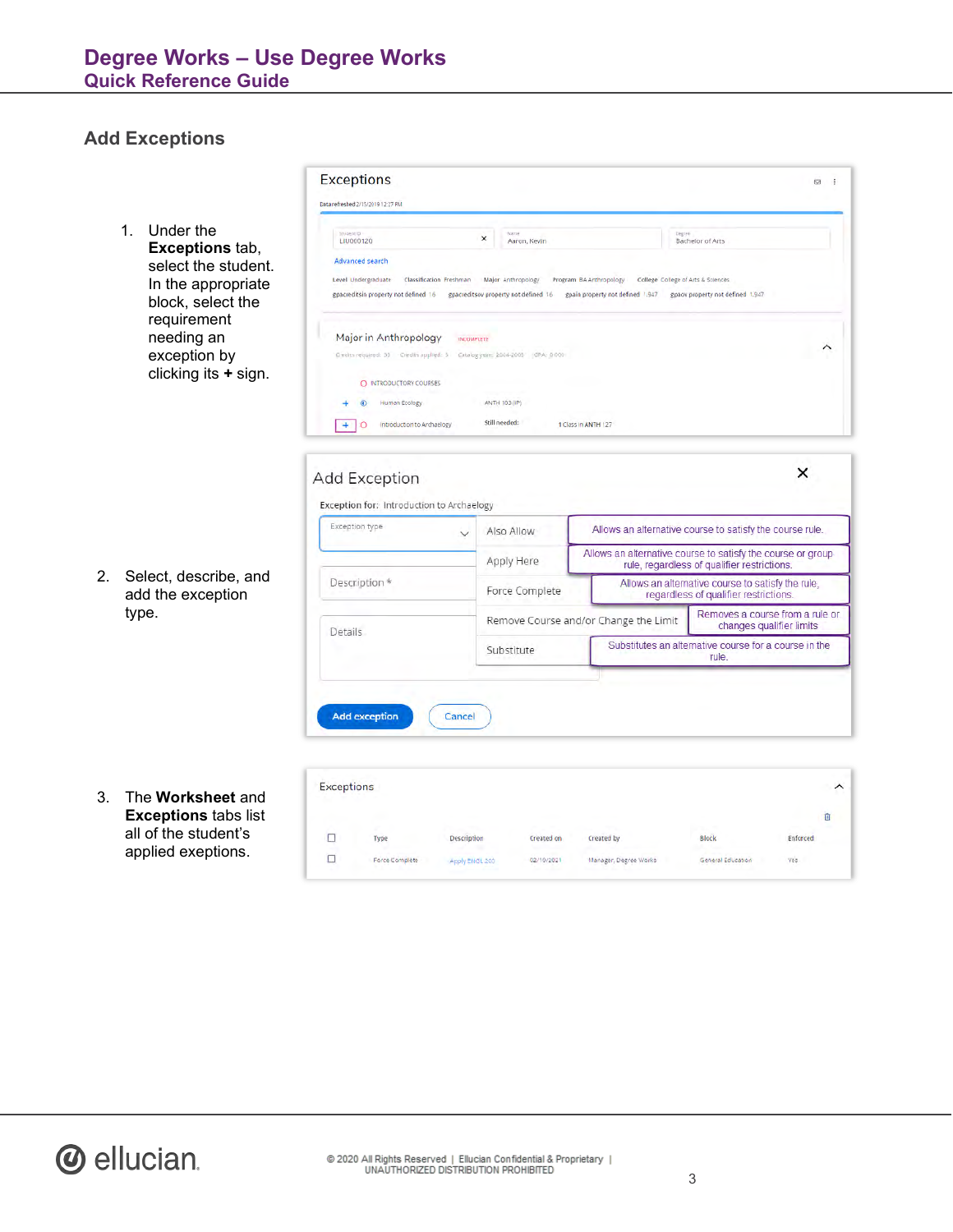# **Add Exceptions**

|    |                                                                   | Exceptions                                                                                                                                                                                                    |                                                            |                                                                                                   | 5 5                                                                                                        |
|----|-------------------------------------------------------------------|---------------------------------------------------------------------------------------------------------------------------------------------------------------------------------------------------------------|------------------------------------------------------------|---------------------------------------------------------------------------------------------------|------------------------------------------------------------------------------------------------------------|
|    |                                                                   | Data refreshed 2/15/2019 12:27 PM                                                                                                                                                                             |                                                            |                                                                                                   |                                                                                                            |
|    | Under the<br>$1_{-}$<br><b>Exceptions tab,</b>                    | Student (D)<br>LIU000120                                                                                                                                                                                      | Náme<br>$\pmb{\times}$<br>Aaron, Kevin                     | Depiee                                                                                            | Bachelor of Arts                                                                                           |
|    | select the student.<br>In the appropriate<br>block, select the    | Advanced search<br>Level Undergraduate<br>Classification Freshman<br>gpacreditsin property not defined 16                                                                                                     | Major Anthropology<br>gpacreditsov property not defined 16 | Program BA Anthropology<br>College College of Arts & Sciences<br>gpain property not defined 1,947 | gpaov property not defined 1.947                                                                           |
|    | requirement<br>needing an<br>exception by<br>clicking its + sign. | Major in Anthropology<br><b>INCOMPLETE</b><br>Condits required: 33 Credits applied: 3 Catalog year: 2004-2005 GPA: 0.000<br>O INTRODUCTORY COURSES<br>Human Ecology<br>Introduction to Archaelogy<br>$+$<br>Ο | ANTH 103 (IP)<br>Still needed:                             | 1 Class In ANTH 127                                                                               | ∧                                                                                                          |
|    |                                                                   | Add Exception<br>Exception for: Introduction to Archaelogy                                                                                                                                                    |                                                            |                                                                                                   | ×                                                                                                          |
|    |                                                                   | Exception type<br>$\checkmark$                                                                                                                                                                                | Also Allow                                                 | Allows an alternative course to satisfy the course rule.                                          |                                                                                                            |
|    |                                                                   |                                                                                                                                                                                                               |                                                            |                                                                                                   |                                                                                                            |
|    |                                                                   |                                                                                                                                                                                                               | Apply Here                                                 |                                                                                                   | Allows an alternative course to satisfy the course or group<br>rule, regardless of qualifier restrictions. |
| 2. | Select, describe, and                                             | Description *                                                                                                                                                                                                 | Force Complete                                             |                                                                                                   | Allows an alternative course to satisfy the rule,<br>regardless of qualifier restrictions.                 |
|    | add the exception<br>type.                                        | Details                                                                                                                                                                                                       |                                                            | Remove Course and/or Change the Limit                                                             | Removes a course from a rule or<br>changes qualifier limits                                                |
|    |                                                                   |                                                                                                                                                                                                               |                                                            |                                                                                                   |                                                                                                            |

3. The **Worksheet** and **Exceptions** tabs list all of the student's applied exeptions.

| <b>Exceptions</b> |                                     |                |                                                      |                       |                                           | ᄉ        |
|-------------------|-------------------------------------|----------------|------------------------------------------------------|-----------------------|-------------------------------------------|----------|
|                   |                                     |                |                                                      |                       |                                           | 面        |
|                   | $\mathcal{L}^{\mathcal{P}}$<br>Type | Description    | Created on                                           | Created by            | w.<br><b>Block</b>                        | Enforced |
|                   | Force Complete                      | Apply ENGL 200 | <b>CONTRACTOR</b><br><b>STATISTICS</b><br>02/10/2021 | Manager, Degree Works | and the state of the<br>General Education | yes.     |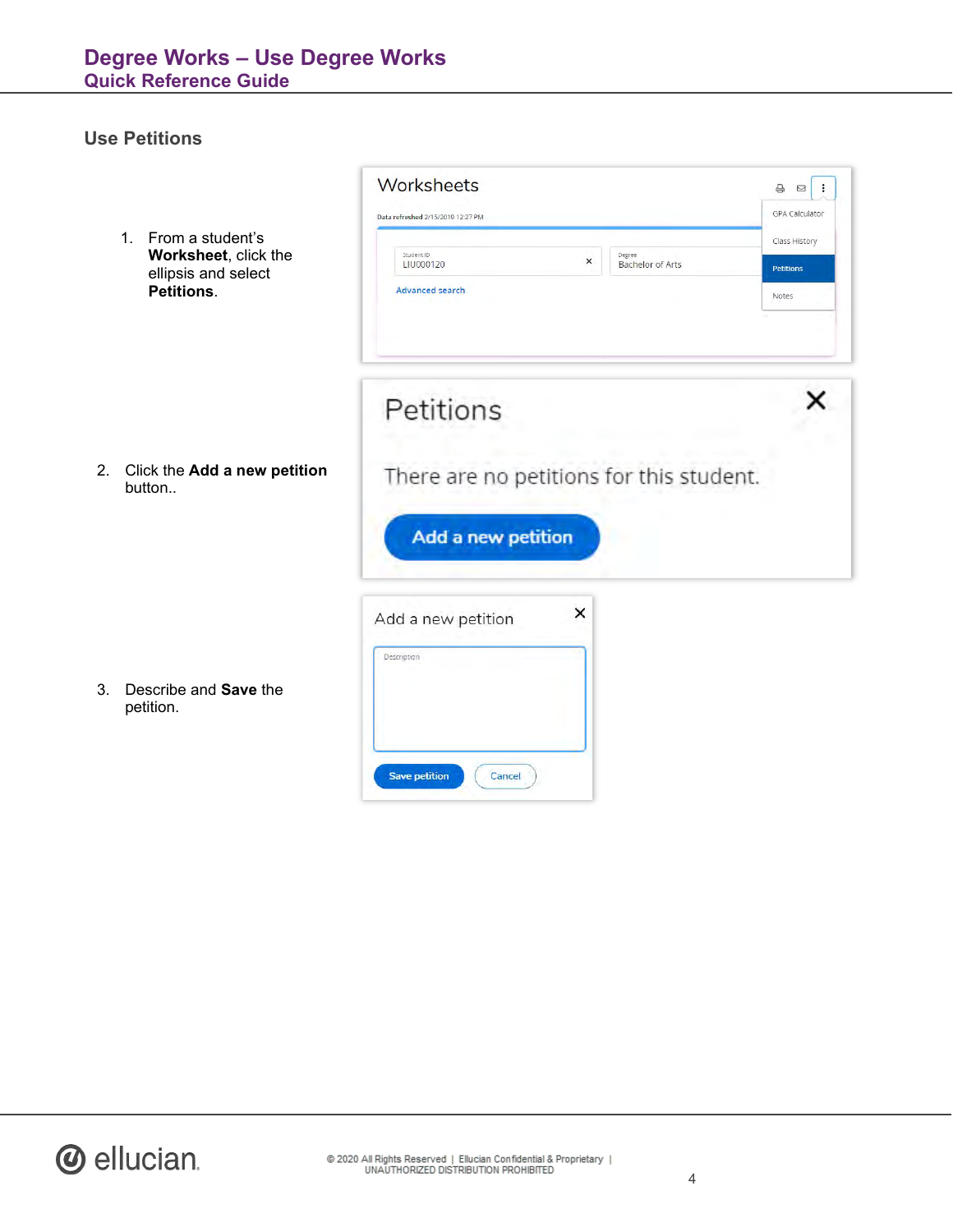# **Use Petitions**

|    | 1. From a student's<br>Worksheet, click the<br>ellipsis and select<br>Petitions. | Worksheets<br>Data refreshed 2/15/2019 12:27 PM<br>Student ID<br>$\times$<br>TRJ000120<br><b>Advanced search</b> | Degree<br><b>Bachelor of Arts</b> | $\oplus$<br>$\cdot$ :<br>$\boxtimes$<br>GPA Calculator<br>Class History<br><b>Petitions</b><br>Notes |
|----|----------------------------------------------------------------------------------|------------------------------------------------------------------------------------------------------------------|-----------------------------------|------------------------------------------------------------------------------------------------------|
| 2. | Click the Add a new petition<br>button                                           | Petitions<br>There are no petitions for this student.<br>Add a new petition                                      |                                   |                                                                                                      |
| 3. | Describe and Save the<br>petition.                                               | $\times$<br>Add a new petition<br>Description<br><b>Save petition</b><br>Cancel                                  |                                   |                                                                                                      |

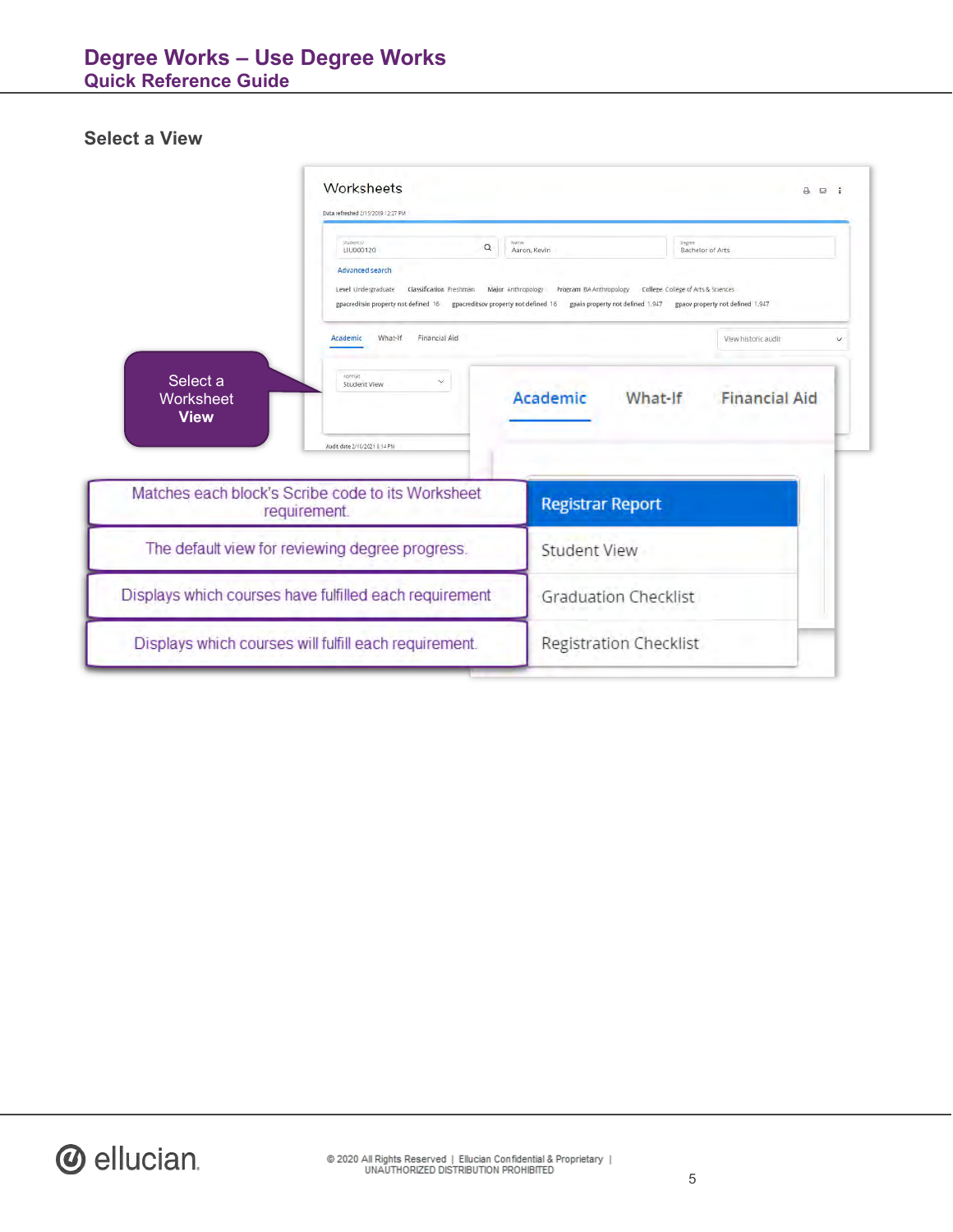# **Degree Works – Use Degree Works Quick Reference Guide**

## **Select a View**

|                                      | Worksheets<br>Data refreshed 2/15/2019 12:27 PM                                                                                                                                                                                                                                                                  | $A \boxtimes$ :             |                                 |  |
|--------------------------------------|------------------------------------------------------------------------------------------------------------------------------------------------------------------------------------------------------------------------------------------------------------------------------------------------------------------|-----------------------------|---------------------------------|--|
|                                      | VALBANK (D)<br>$\alpha$<br>LIU000120                                                                                                                                                                                                                                                                             | Name<br>Aaron, Kevin        | Degree<br>Bachelor of Arts      |  |
|                                      | Advanced search<br>Level Undergraduate<br>College College of Arts & Sciences<br>Classification Freshman<br>Major Anthropology<br>Program BA Anthropology<br>gpacreditsin property not defined 16<br>gpacreditsov property not defined 16<br>gpain property not defined 1.947<br>gpaov property not defined 1.947 |                             |                                 |  |
|                                      | What-If<br>Financial Aid<br>Academic                                                                                                                                                                                                                                                                             |                             | View-historic audit             |  |
| Select a<br>Worksheet<br><b>View</b> | Format<br>Student View<br>Audit date 2/10/2021 6:14 PM                                                                                                                                                                                                                                                           | Academic                    | What-If<br><b>Financial Aid</b> |  |
|                                      | Matches each block's Scribe code to its Worksheet                                                                                                                                                                                                                                                                | <b>Registrar Report</b>     |                                 |  |
| requirement.                         |                                                                                                                                                                                                                                                                                                                  |                             |                                 |  |
|                                      | The default view for reviewing degree progress.                                                                                                                                                                                                                                                                  | <b>Student View</b>         |                                 |  |
|                                      | Displays which courses have fulfilled each requirement                                                                                                                                                                                                                                                           | <b>Graduation Checklist</b> |                                 |  |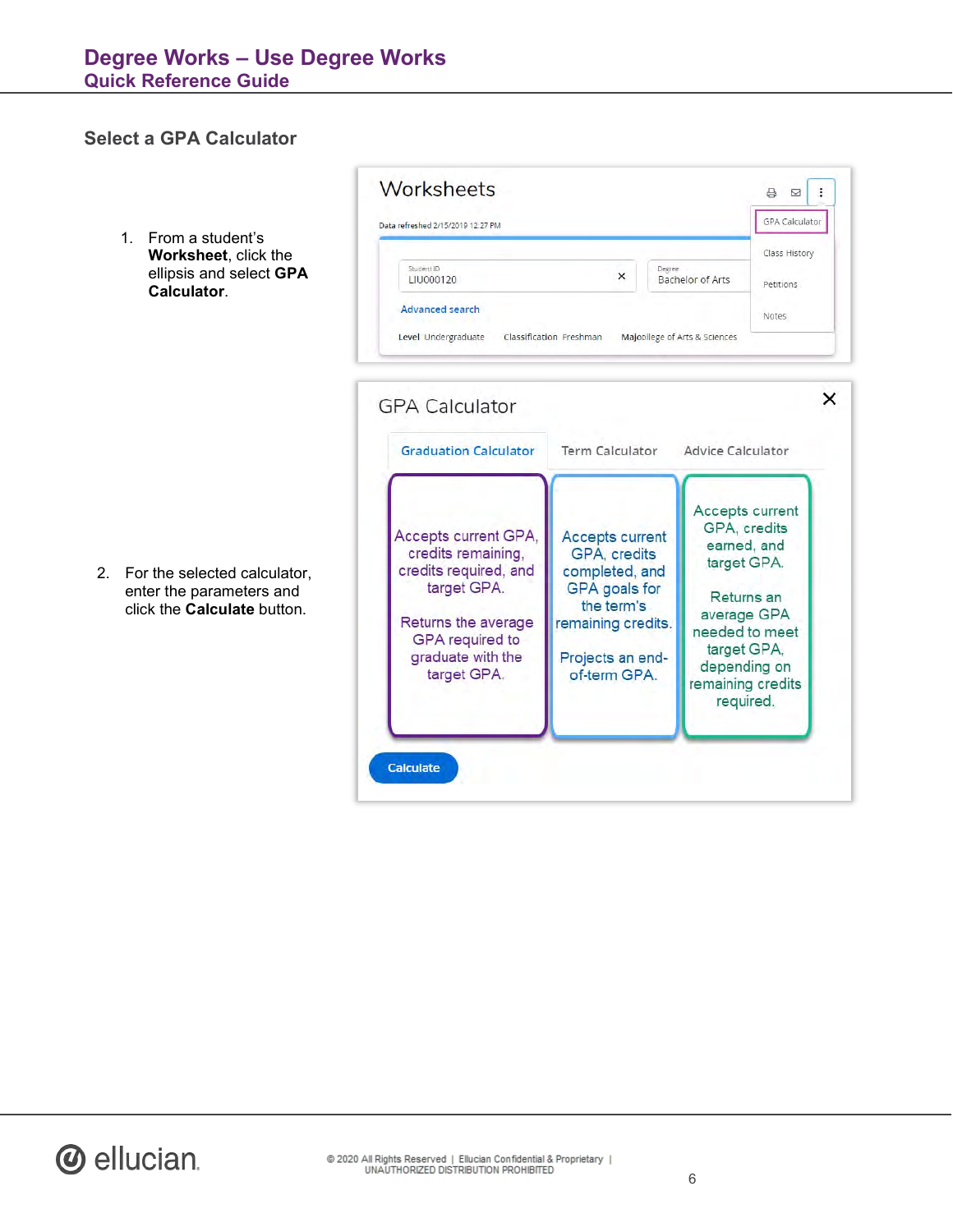Worksheets

Data refreshed 2/15/2019 12:27 PM

#### **Select a GPA Calculator**

- 1. From a student's **Worksheet**, click the ellipsis and select **GPA Calculator**.
- Student ID Degree  $\times$ LIU000120 **Bachelor of Arts** Petitions **Advanced search** Notes Level Undergraduate Classification Freshman Majoollege of Arts & Sciences  $\times$ **GPA Calculator Graduation Calculator Advice Calculator Term Calculator** Accepts current GPA, credits Accepts current GPA, **Accepts current** earned, and credits remaining, GPA, credits target GPA. credits required, and completed, and target GPA. **GPA** goals for Returns an the term's average GPA Returns the average remaining credits. needed to meet GPA required to target GPA, graduate with the Projects an enddepending on of-term GPA. target GPA. remaining credits required. Calculate

 $\begin{array}{c|c|c|c|c} \Box & \Box & \Box & \Box \end{array}$ GPA Calculator

Class History

2. For the selected calculator, enter the parameters and click the **Calculate** button.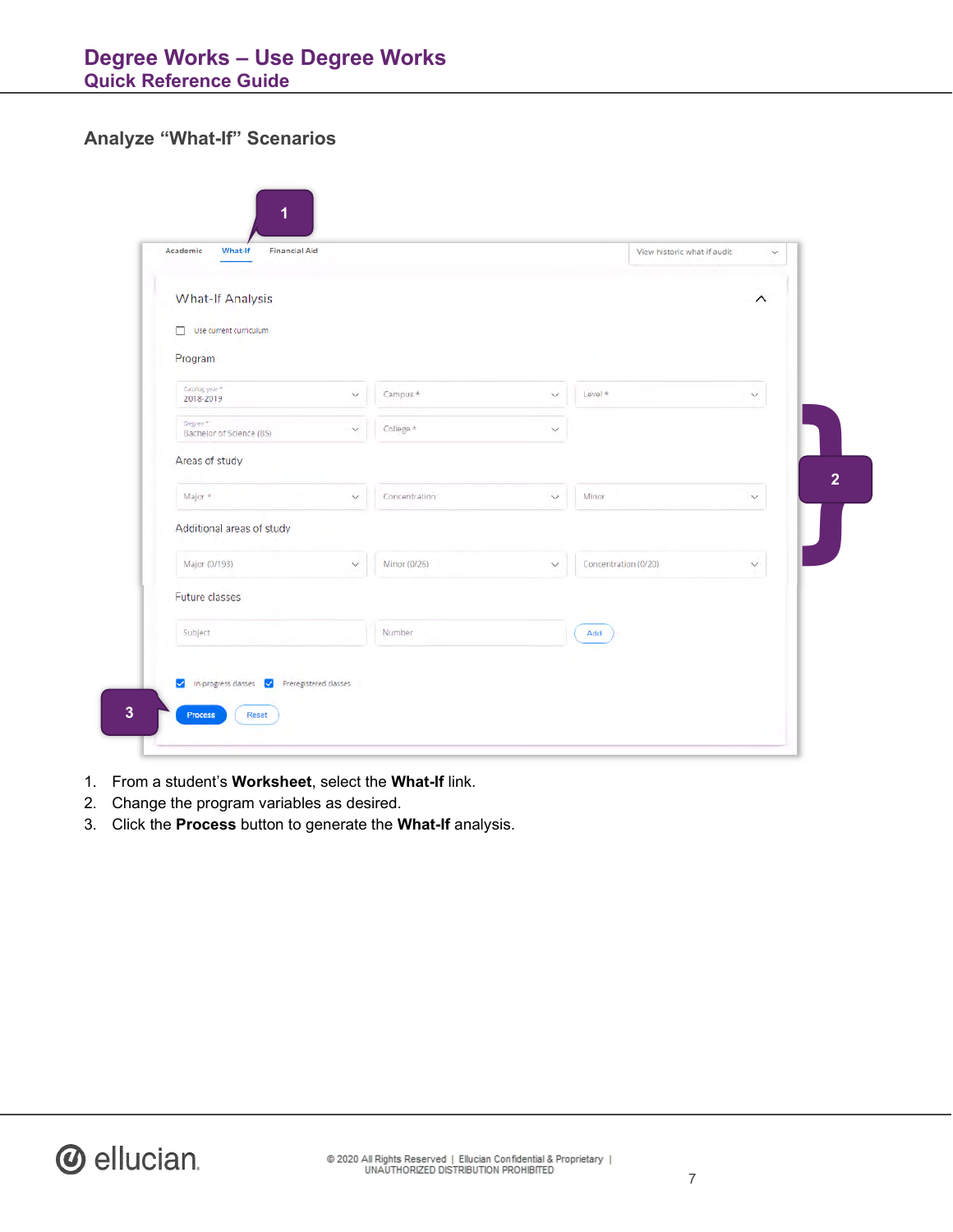#### **Analyze "What-If" Scenarios**

| Academic<br>What-If<br><b>Financial Aid</b> |                               |              | View historic what-if audit | $\checkmark$            |
|---------------------------------------------|-------------------------------|--------------|-----------------------------|-------------------------|
| <b>What-If Analysis</b>                     |                               |              |                             | $\widehat{\phantom{0}}$ |
| $\Box$ Use current curriculum               |                               |              |                             |                         |
| Program                                     |                               |              |                             |                         |
| Catalog year*<br>2018-2019                  | Campus *<br>$\checkmark$      | $\checkmark$ | Level *                     | $\checkmark$            |
| Degree T<br>Bachelor of Science (BS)        | College *<br>$\checkmark$     | $\checkmark$ |                             |                         |
| Areas of study                              |                               |              |                             |                         |
| Major *                                     | Concentration<br>$\checkmark$ | $\checkmark$ | Minor                       | $\checkmark$            |
| Additional areas of study                   |                               |              |                             |                         |
| Major (0/193)                               | Minor (0/26)<br>$\checkmark$  | $\vee$       | Concentration (0/20)        | $\vee$                  |
| Future classes                              |                               |              |                             |                         |
| Subject                                     | Number                        |              | Add.                        |                         |
|                                             |                               |              |                             |                         |

- 1. From a student's **Worksheet**, select the **What-If** link.
- 2. Change the program variables as desired.
- 3. Click the **Process** button to generate the **What-If** analysis.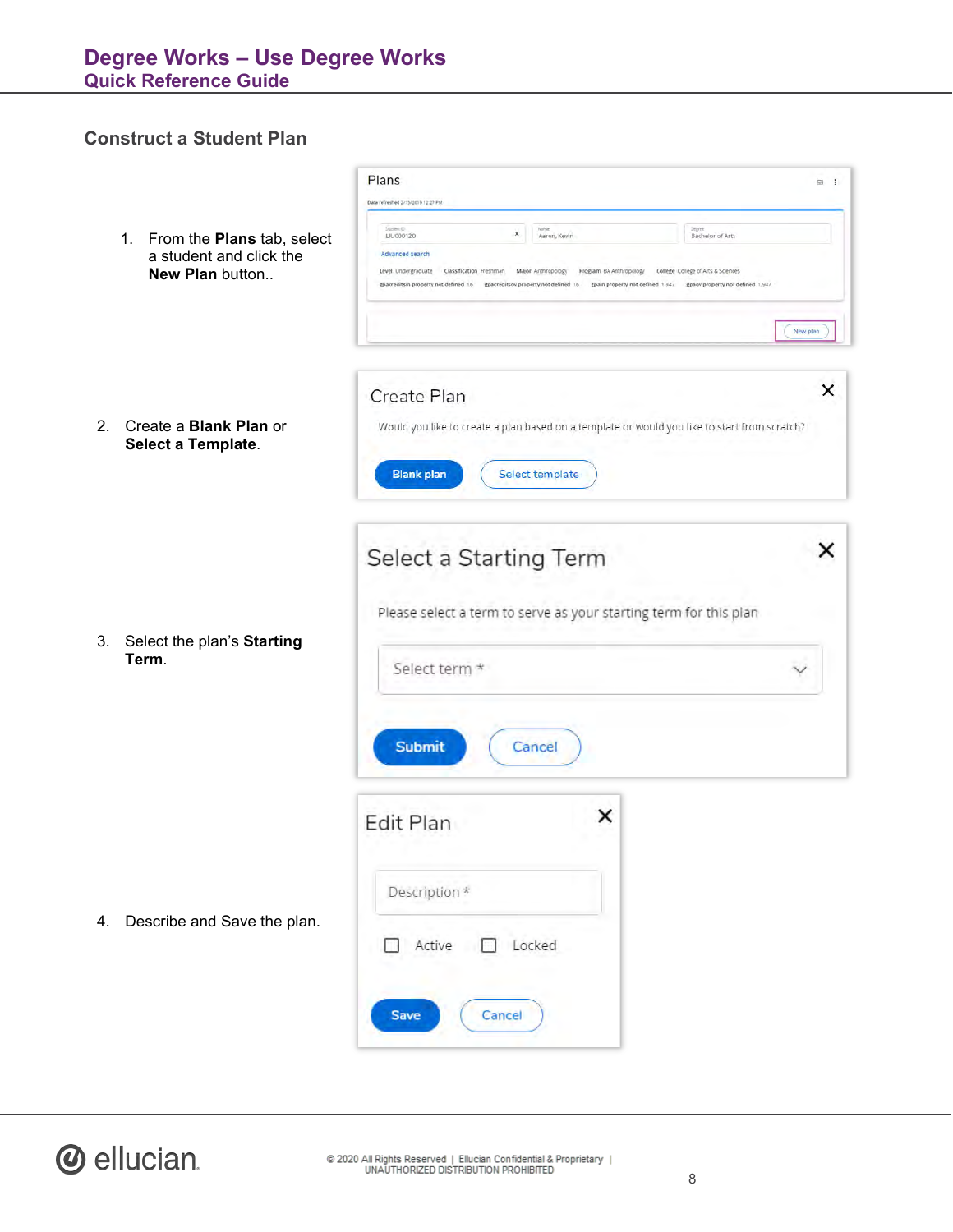# **Construct a Student Plan**

|    |                                                                             | Plans<br>Data refreshed 2/15/2019 12:27 PM                                                                                                                                                      |                                                                                                            | E3 :                                                                                                             |
|----|-----------------------------------------------------------------------------|-------------------------------------------------------------------------------------------------------------------------------------------------------------------------------------------------|------------------------------------------------------------------------------------------------------------|------------------------------------------------------------------------------------------------------------------|
|    | 1. From the Plans tab, select<br>a student and click the<br>New Plan button | <b>Margaret C</b><br>×<br>LJU000120<br><b>Advanced search</b><br>Level Undergraduate<br>Classification Freshman<br>gpacreditsin property not defined 16<br>gpacreditsov property not defined 16 | Nahle<br>Aaron, Kevin<br>Major Anthropology<br>Program BA Anthropology<br>gpain property not defined 1.947 | Degree<br>Bachelor of Arts<br>College College of Arts & Sciences<br>gpacy property not defined 1,947<br>New plan |
| 2. | Create a Blank Plan or<br>Select a Template.                                | Create Plan<br>Would you like to create a plan based on a template or would you like to start from scratch?<br><b>Blank plan</b>                                                                | Select template                                                                                            | ×                                                                                                                |
|    | 3. Select the plan's Starting<br>Term.                                      | Select a Starting Term<br>Please select a term to serve as your starting term for this plan<br>Select term *<br><b>Submit</b><br>Cancel                                                         |                                                                                                            | ×                                                                                                                |
| 4. | Describe and Save the plan.                                                 | Edit Plan<br>Description *<br>Locked<br>Active<br>Cancel<br><b>Save</b>                                                                                                                         | ×                                                                                                          |                                                                                                                  |

# *O* ellucian.